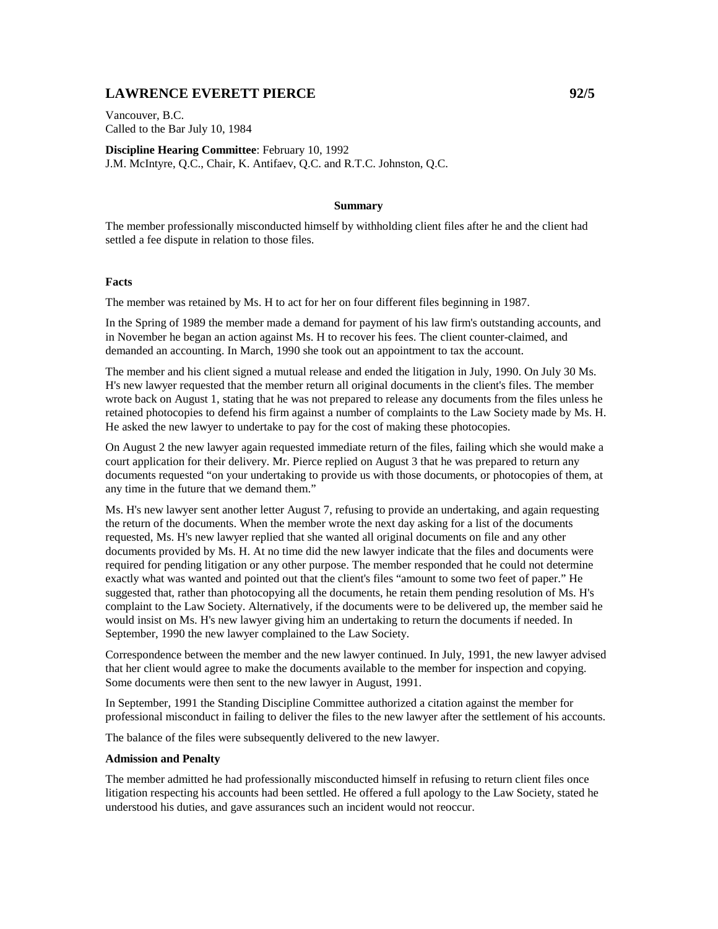## **LAWRENCE EVERETT PIERCE 1992/5**

Vancouver, B.C. Called to the Bar July 10, 1984

**Discipline Hearing Committee**: February 10, 1992 J.M. McIntyre, Q.C., Chair, K. Antifaev, Q.C. and R.T.C. Johnston, Q.C.

## **Summary**

The member professionally misconducted himself by withholding client files after he and the client had settled a fee dispute in relation to those files.

## **Facts**

The member was retained by Ms. H to act for her on four different files beginning in 1987.

In the Spring of 1989 the member made a demand for payment of his law firm's outstanding accounts, and in November he began an action against Ms. H to recover his fees. The client counter-claimed, and demanded an accounting. In March, 1990 she took out an appointment to tax the account.

The member and his client signed a mutual release and ended the litigation in July, 1990. On July 30 Ms. H's new lawyer requested that the member return all original documents in the client's files. The member wrote back on August 1, stating that he was not prepared to release any documents from the files unless he retained photocopies to defend his firm against a number of complaints to the Law Society made by Ms. H. He asked the new lawyer to undertake to pay for the cost of making these photocopies.

On August 2 the new lawyer again requested immediate return of the files, failing which she would make a court application for their delivery. Mr. Pierce replied on August 3 that he was prepared to return any documents requested "on your undertaking to provide us with those documents, or photocopies of them, at any time in the future that we demand them."

Ms. H's new lawyer sent another letter August 7, refusing to provide an undertaking, and again requesting the return of the documents. When the member wrote the next day asking for a list of the documents requested, Ms. H's new lawyer replied that she wanted all original documents on file and any other documents provided by Ms. H. At no time did the new lawyer indicate that the files and documents were required for pending litigation or any other purpose. The member responded that he could not determine exactly what was wanted and pointed out that the client's files "amount to some two feet of paper." He suggested that, rather than photocopying all the documents, he retain them pending resolution of Ms. H's complaint to the Law Society. Alternatively, if the documents were to be delivered up, the member said he would insist on Ms. H's new lawyer giving him an undertaking to return the documents if needed. In September, 1990 the new lawyer complained to the Law Society.

Correspondence between the member and the new lawyer continued. In July, 1991, the new lawyer advised that her client would agree to make the documents available to the member for inspection and copying. Some documents were then sent to the new lawyer in August, 1991.

In September, 1991 the Standing Discipline Committee authorized a citation against the member for professional misconduct in failing to deliver the files to the new lawyer after the settlement of his accounts.

The balance of the files were subsequently delivered to the new lawyer.

## **Admission and Penalty**

The member admitted he had professionally misconducted himself in refusing to return client files once litigation respecting his accounts had been settled. He offered a full apology to the Law Society, stated he understood his duties, and gave assurances such an incident would not reoccur.